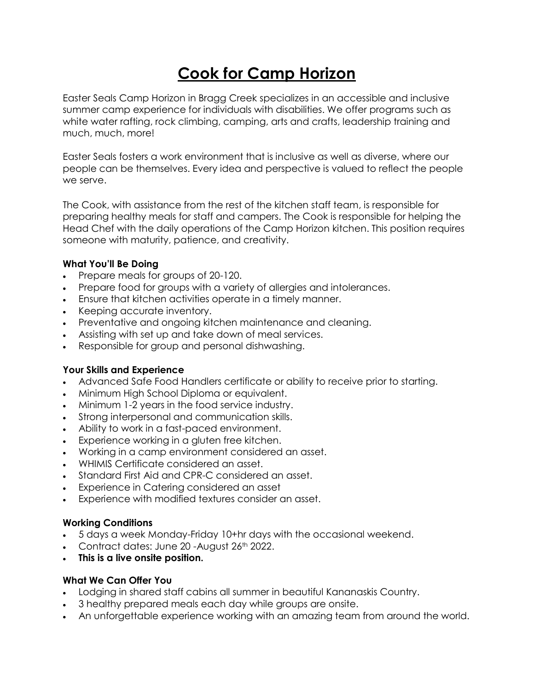# **Cook for Camp Horizon**

Easter Seals Camp Horizon in Bragg Creek specializes in an accessible and inclusive summer camp experience for individuals with disabilities. We offer programs such as white water rafting, rock climbing, camping, arts and crafts, leadership training and much, much, more!

Easter Seals fosters a work environment that is inclusive as well as diverse, where our people can be themselves. Every idea and perspective is valued to reflect the people we serve.

The Cook, with assistance from the rest of the kitchen staff team, is responsible for preparing healthy meals for staff and campers. The Cook is responsible for helping the Head Chef with the daily operations of the Camp Horizon kitchen. This position requires someone with maturity, patience, and creativity.

### **What You'll Be Doing**

- Prepare meals for groups of 20-120.
- Prepare food for groups with a variety of allergies and intolerances.
- Ensure that kitchen activities operate in a timely manner.
- Keeping accurate inventory.
- Preventative and ongoing kitchen maintenance and cleaning.
- Assisting with set up and take down of meal services.
- Responsible for group and personal dishwashing.

## **Your Skills and Experience**

- Advanced Safe Food Handlers certificate or ability to receive prior to starting.
- Minimum High School Diploma or equivalent.
- Minimum 1-2 years in the food service industry.
- Strong interpersonal and communication skills.
- Ability to work in a fast-paced environment.
- Experience working in a gluten free kitchen.
- Working in a camp environment considered an asset.
- WHIMIS Certificate considered an asset.
- Standard First Aid and CPR-C considered an asset.
- Experience in Catering considered an asset
- Experience with modified textures consider an asset.

#### **Working Conditions**

- 5 days a week Monday-Friday 10+hr days with the occasional weekend.
- Contract dates: June 20 August 26th 2022.
- **This is a live onsite position.**

#### **What We Can Offer You**

- Lodging in shared staff cabins all summer in beautiful Kananaskis Country.
- 3 healthy prepared meals each day while groups are onsite.
- An unforgettable experience working with an amazing team from around the world.